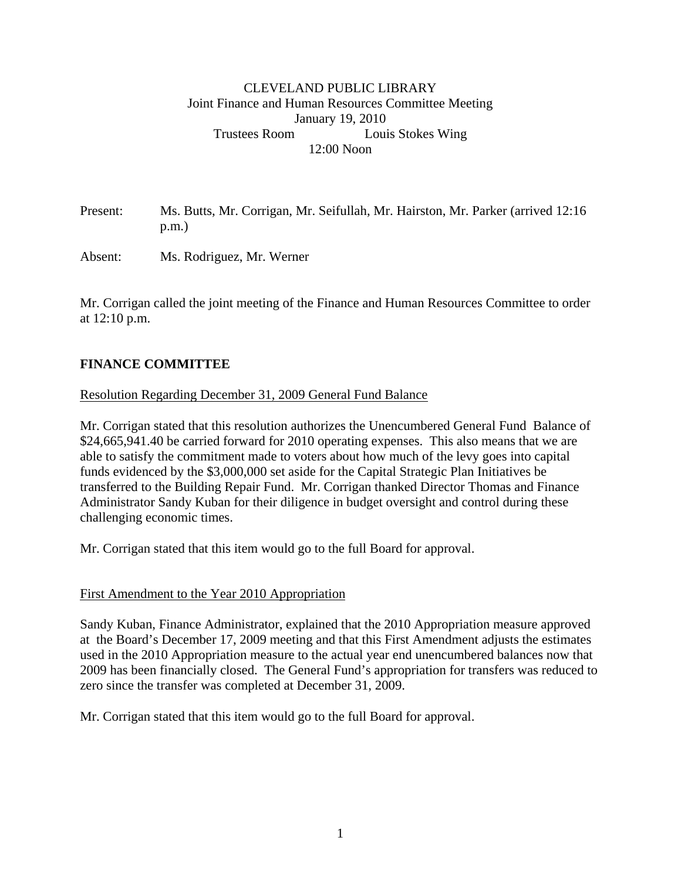### CLEVELAND PUBLIC LIBRARY Joint Finance and Human Resources Committee Meeting January 19, 2010 Trustees Room Louis Stokes Wing 12:00 Noon

Present: Ms. Butts, Mr. Corrigan, Mr. Seifullah, Mr. Hairston, Mr. Parker (arrived 12:16 p.m.)

Absent: Ms. Rodriguez, Mr. Werner

Mr. Corrigan called the joint meeting of the Finance and Human Resources Committee to order at 12:10 p.m.

# **FINANCE COMMITTEE**

#### Resolution Regarding December 31, 2009 General Fund Balance

Mr. Corrigan stated that this resolution authorizes the Unencumbered General Fund Balance of \$24,665,941.40 be carried forward for 2010 operating expenses. This also means that we are able to satisfy the commitment made to voters about how much of the levy goes into capital funds evidenced by the \$3,000,000 set aside for the Capital Strategic Plan Initiatives be transferred to the Building Repair Fund. Mr. Corrigan thanked Director Thomas and Finance Administrator Sandy Kuban for their diligence in budget oversight and control during these challenging economic times.

Mr. Corrigan stated that this item would go to the full Board for approval.

#### First Amendment to the Year 2010 Appropriation

Sandy Kuban, Finance Administrator, explained that the 2010 Appropriation measure approved at the Board's December 17, 2009 meeting and that this First Amendment adjusts the estimates used in the 2010 Appropriation measure to the actual year end unencumbered balances now that 2009 has been financially closed. The General Fund's appropriation for transfers was reduced to zero since the transfer was completed at December 31, 2009.

Mr. Corrigan stated that this item would go to the full Board for approval.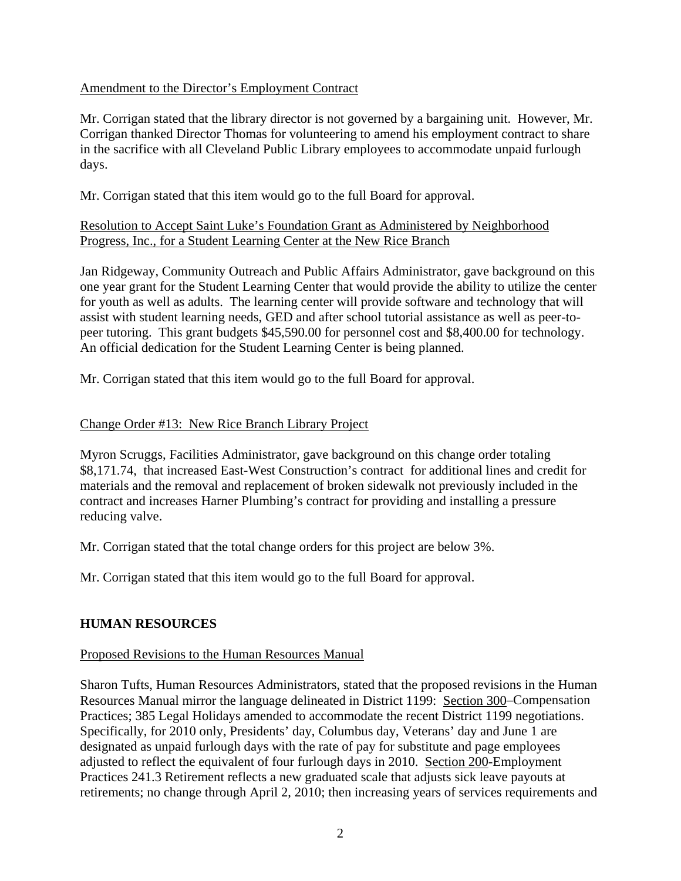### Amendment to the Director's Employment Contract

Mr. Corrigan stated that the library director is not governed by a bargaining unit. However, Mr. Corrigan thanked Director Thomas for volunteering to amend his employment contract to share in the sacrifice with all Cleveland Public Library employees to accommodate unpaid furlough days.

Mr. Corrigan stated that this item would go to the full Board for approval.

### Resolution to Accept Saint Luke's Foundation Grant as Administered by Neighborhood Progress, Inc., for a Student Learning Center at the New Rice Branch

Jan Ridgeway, Community Outreach and Public Affairs Administrator, gave background on this one year grant for the Student Learning Center that would provide the ability to utilize the center for youth as well as adults. The learning center will provide software and technology that will assist with student learning needs, GED and after school tutorial assistance as well as peer-topeer tutoring. This grant budgets \$45,590.00 for personnel cost and \$8,400.00 for technology. An official dedication for the Student Learning Center is being planned.

Mr. Corrigan stated that this item would go to the full Board for approval.

# Change Order #13: New Rice Branch Library Project

Myron Scruggs, Facilities Administrator, gave background on this change order totaling \$8,171.74, that increased East-West Construction's contract for additional lines and credit for materials and the removal and replacement of broken sidewalk not previously included in the contract and increases Harner Plumbing's contract for providing and installing a pressure reducing valve.

Mr. Corrigan stated that the total change orders for this project are below 3%.

Mr. Corrigan stated that this item would go to the full Board for approval.

# **HUMAN RESOURCES**

#### Proposed Revisions to the Human Resources Manual

Sharon Tufts, Human Resources Administrators, stated that the proposed revisions in the Human Resources Manual mirror the language delineated in District 1199: Section 300–Compensation Practices; 385 Legal Holidays amended to accommodate the recent District 1199 negotiations. Specifically, for 2010 only, Presidents' day, Columbus day, Veterans' day and June 1 are designated as unpaid furlough days with the rate of pay for substitute and page employees adjusted to reflect the equivalent of four furlough days in 2010. Section 200-Employment Practices 241.3 Retirement reflects a new graduated scale that adjusts sick leave payouts at retirements; no change through April 2, 2010; then increasing years of services requirements and